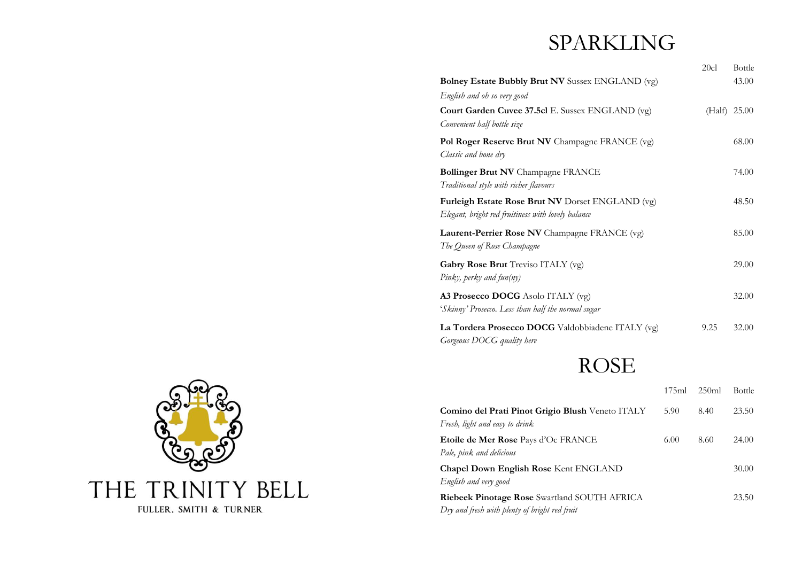# SPARKLING

|                                                                                                        | 20cl   | Bottle |
|--------------------------------------------------------------------------------------------------------|--------|--------|
| <b>Bolney Estate Bubbly Brut NV</b> Sussex ENGLAND (vg)                                                |        | 43.00  |
| English and oh so very good                                                                            |        |        |
| Court Garden Cuvee 37.5cl E. Sussex ENGLAND (vg)<br>Convenient half bottle size                        | (Half) | 25.00  |
| Pol Roger Reserve Brut NV Champagne FRANCE (vg)<br>Classic and bone dry                                |        | 68.00  |
| <b>Bollinger Brut NV</b> Champagne FRANCE<br>Traditional style with richer flavours                    |        | 74.00  |
| Furleigh Estate Rose Brut NV Dorset ENGLAND (vg)<br>Elegant, bright red fruitiness with lovely balance |        | 48.50  |
| Laurent-Perrier Rose NV Champagne FRANCE (vg)<br>The Queen of Rose Champagne                           |        | 85.00  |
| Gabry Rose Brut Treviso ITALY (vg)<br>Pinky, perky and fun(ny)                                         |        | 29.00  |
| A3 Prosecco DOCG Asolo ITALY (vg)<br>'Skinny' Prosecco. Less than half the normal sugar                |        | 32.00  |
| La Tordera Prosecco DOCG Valdobbiadene ITALY (vg)<br>Gorgeous DOCG quality here                        | 9.25   | 32.00  |
| n a an                                                                                                 |        |        |

# ROSE

|                                                     | 175ml | 250ml | Bottle |
|-----------------------------------------------------|-------|-------|--------|
| Comino del Prati Pinot Grigio Blush Veneto ITALY    | 5.90  | 8.40  | 23.50  |
| Fresh, light and easy to drink                      |       |       |        |
| <b>Etoile de Mer Rose</b> Pays d'Oc FRANCE          | 6.00  | 8.60  | 24.00  |
| Pale, pink and delicious                            |       |       |        |
| <b>Chapel Down English Rose Kent ENGLAND</b>        |       |       | 30.00  |
| English and very good                               |       |       |        |
| <b>Riebeek Pinotage Rose</b> Swartland SOUTH AFRICA |       |       | 23.50  |
| Dry and fresh with plenty of bright red fruit       |       |       |        |

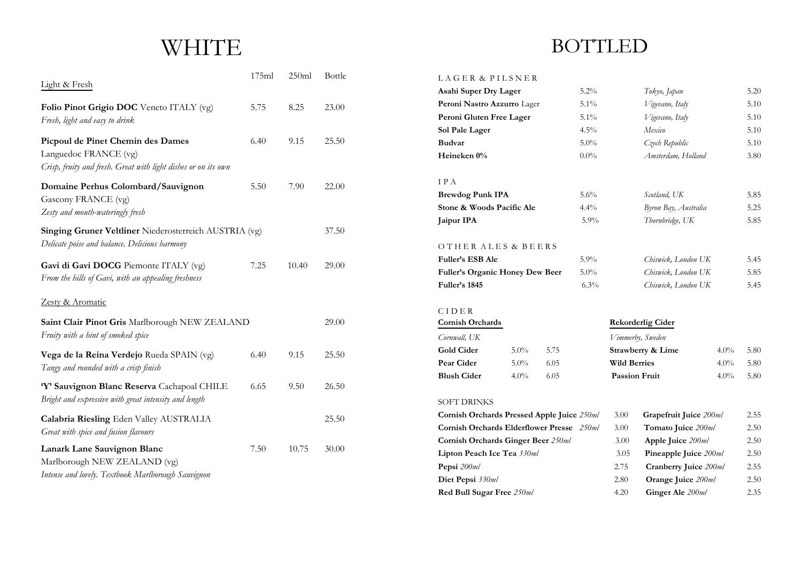# **WHITE**

| Light & Fresh                                                                                                                | 175ml | 250ml | <b>Bottle</b> |
|------------------------------------------------------------------------------------------------------------------------------|-------|-------|---------------|
| Folio Pinot Grigio DOC Veneto ITALY (vg)<br>Fresh, light and easy to drink                                                   | 5.75  | 8.25  | 23.00         |
| Picpoul de Pinet Chemin des Dames<br>Languedoc FRANCE (vg)<br>Crisp, fruity and fresh. Great with light dishes or on its own | 6.40  | 9.15  | 25.50         |
| Domaine Perhus Colombard/Sauvignon<br>Gascony FRANCE (vg)<br>Zesty and mouth-wateringly fresh                                | 5.50  | 7.90  | 22.00         |
| Singing Gruner Veltliner Niederosterreich AUSTRIA (vg)<br>Delicate poise and balance. Delicious harmony                      |       |       | 37.50         |
| Gavi di Gavi DOCG Piemonte ITALY (vg)<br>From the hills of Gavi, with an appealing freshness                                 | 7.25  | 10.40 | 29.00         |
| Zesty & Aromatic                                                                                                             |       |       |               |
| Saint Clair Pinot Gris Marlborough NEW ZEALAND<br>Fruity with a hint of smoked spice                                         |       |       |               |
| Vega de la Reina Verdejo Rueda SPAIN (vg)<br>Tangy and rounded with a crisp finish                                           | 6.40  | 9.15  | 25.50         |
| 'Y' Sauvignon Blanc Reserva Cachapoal CHILE<br>Bright and expressive with great intensity and length                         | 6.65  | 9.50  | 26.50         |
| Calabria Riesling Eden Valley AUSTRALIA<br>Great with spice and fusion flavours                                              |       |       | 25.50         |
| Lanark Lane Sauvignon Blanc<br>Marlborough NEW ZEALAND (vg)<br>Intense and lovely. Textbook Marlborough Sauvignon            | 7.50  | 10.75 | 30.00         |

## **BOTTLED**

### LAGER & PILSNER

| Asahi Super Dry Lager                             |                           |      | 5.2%                  |                     | Tokyo, Japan             |         | 5.20 |
|---------------------------------------------------|---------------------------|------|-----------------------|---------------------|--------------------------|---------|------|
| Peroni Nastro Azzurro Lager                       |                           |      | $5.1\%$               |                     | Vigevano, Italy          |         | 5.10 |
| Peroni Gluten Free Lager                          |                           |      | 5.1%                  |                     | Vigevano, Italy          |         | 5.10 |
| Sol Pale Lager                                    |                           |      | 4.5%                  |                     | Mexico                   |         | 5.10 |
| <b>Budvar</b>                                     |                           |      | $5.0\%$               |                     | Czech Republic           |         | 5.10 |
| Heineken 0%                                       |                           |      | $0.0\%$               |                     | Amsterdam, Holland       |         | 3.80 |
| IPA                                               |                           |      |                       |                     |                          |         |      |
| <b>Brewdog Punk IPA</b>                           |                           |      | 5.6%                  |                     | Scotland, UK             |         | 5.85 |
| Stone & Woods Pacific Ale                         |                           |      | 4.4%                  |                     | Byron Bay, Australia     |         | 5.25 |
| Jaipur IPA                                        |                           |      | 5.9%                  |                     | Thornbridge, UK          |         | 5.85 |
| OTHER ALES & BEERS                                |                           |      |                       |                     |                          |         |      |
| <b>Fuller's ESB Ale</b>                           |                           |      | 5.9%                  |                     | Chiswick, London UK      |         | 5.45 |
| <b>Fuller's Organic Honey Dew Beer</b><br>$5.0\%$ |                           |      | Chiswick, London UK   |                     | 5.85                     |         |      |
| Fuller's 1845                                     |                           |      | 6.3%                  |                     | Chiswick, London UK      |         | 5.45 |
| CIDER                                             |                           |      |                       |                     |                          |         |      |
| Cornish Orchards                                  |                           |      |                       |                     | <b>Rekorderlig Cider</b> |         |      |
| Cornwall, UK                                      |                           |      |                       |                     | Vimmerby, Sweden         |         |      |
| <b>Gold Cider</b>                                 | 5.0%                      | 5.75 |                       |                     | Strawberry & Lime        | $4.0\%$ | 5.80 |
| Pear Cider                                        | $5.0\%$                   | 6.05 |                       | <b>Wild Berries</b> |                          | $4.0\%$ | 5.80 |
| <b>Blush Cider</b>                                | $4.0\%$                   | 6.05 |                       |                     | <b>Passion Fruit</b>     | $4.0\%$ | 5.80 |
| <b>SOFT DRINKS</b>                                |                           |      |                       |                     |                          |         |      |
| Cornish Orchards Pressed Apple Juice 250ml        |                           |      |                       | 3.00                | Grapefruit Juice 200ml   |         | 2.55 |
| Cornish Orchards Elderflower Presse 250ml         |                           |      |                       | 3.00                | Tomato Juice 200ml       |         | 2.50 |
| Cornish Orchards Ginger Beer 250ml                |                           | 3.00 | Apple Juice 200ml     |                     | 2.50                     |         |      |
| Lipton Peach Ice Tea 330ml                        |                           | 3.05 | Pineapple Juice 200ml |                     | 2.50                     |         |      |
| Pepsi 200ml                                       |                           |      |                       | 2.75                | Cranberry Juice 200ml    |         | 2.55 |
| Diet Pepsi 330ml                                  |                           |      | 2.80                  | Orange Juice 200ml  |                          | 2.50    |      |
|                                                   | Red Bull Sugar Free 250ml |      | 4.20                  | Ginger Ale 200ml    |                          | 2.35    |      |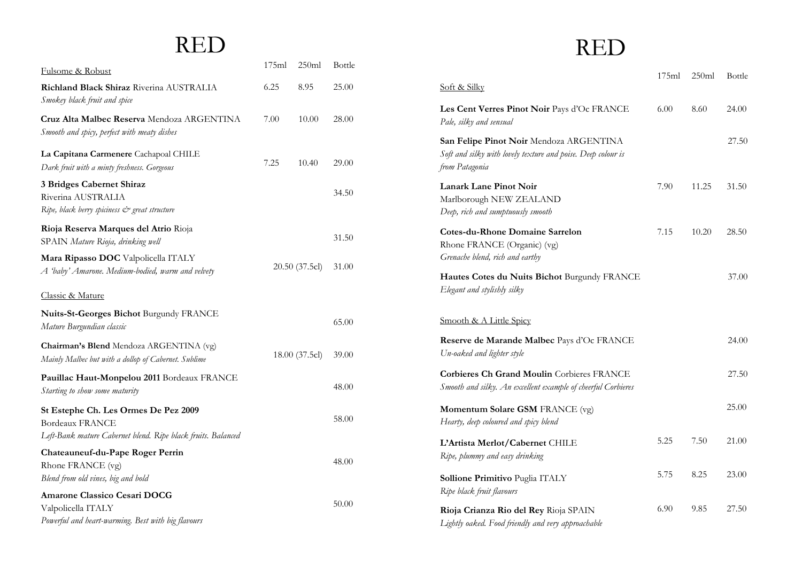# RED

| <u>Fulsome &amp; Robust</u>                                                                                                    | 175ml | 250ml          | Bottle |
|--------------------------------------------------------------------------------------------------------------------------------|-------|----------------|--------|
| Richland Black Shiraz Riverina AUSTRALIA<br>Smokey black fruit and spice                                                       | 6.25  | 8.95           | 25.00  |
| <b>Cruz Alta Malbec Reserva</b> Mendoza ARGENTINA<br>Smooth and spicy, perfect with meaty dishes                               | 7.00  | 10.00          | 28.00  |
| La Capitana Carmenere Cachapoal CHILE<br>Dark fruit with a minty freshness. Gorgeous                                           | 7.25  | 10.40          | 29.00  |
| 3 Bridges Cabernet Shiraz<br>Riverina AUSTRALIA<br>Ripe, black berry spiciness & great structure                               |       |                | 34.50  |
| Rioja Reserva Marques del Atrio Rioja<br>SPAIN Mature Rioja, drinking well                                                     |       |                | 31.50  |
| Mara Ripasso DOC Valpolicella ITALY<br>A 'baby' Amarone. Medium-bodied, warm and velvety                                       |       | 20.50(37.5c)   | 31.00  |
| <b>Classic &amp; Mature</b>                                                                                                    |       |                |        |
| Nuits-St-Georges Bichot Burgundy FRANCE<br>Mature Burgundian classic                                                           |       |                | 65.00  |
| Chairman's Blend Mendoza ARGENTINA (vg)<br>Mainly Malbec but with a dollop of Cabernet. Sublime                                |       | 18.00 (37.5cl) | 39.00  |
| Pauillac Haut-Monpelou 2011 Bordeaux FRANCE<br>Starting to show some maturity                                                  |       |                | 48.00  |
| St Estephe Ch. Les Ormes De Pez 2009<br><b>Bordeaux FRANCE</b><br>Left-Bank mature Cabernet blend. Ripe black fruits. Balanced |       |                | 58.00  |
| Chateauneuf-du-Pape Roger Perrin<br>Rhone FRANCE (vg)<br>Blend from old vines, big and bold                                    |       |                | 48.00  |
| Amarone Classico Cesari DOCG<br>Valpolicella ITALY<br>Powerful and heart-warming. Best with big flavours                       |       |                | 50.00  |

# RED

|                                                                                                                           | 175ml | 250ml | Bottle |
|---------------------------------------------------------------------------------------------------------------------------|-------|-------|--------|
| Soft & Silky                                                                                                              |       |       |        |
| Les Cent Verres Pinot Noir Pays d'Oc FRANCE<br>Pale, silky and sensual                                                    | 6.00  | 8.60  | 24.00  |
| San Felipe Pinot Noir Mendoza ARGENTINA<br>Soft and silky with lovely texture and poise. Deep colour is<br>from Patagonia |       |       | 27.50  |
| <b>Lanark Lane Pinot Noir</b><br>Marlborough NEW ZEALAND<br>Deep, rich and sumptuously smooth                             | 7.90  | 11.25 | 31.50  |
| <b>Cotes-du-Rhone Domaine Sarrelon</b><br>Rhone FRANCE (Organic) (vg)<br>Grenache blend, rich and earthy                  | 7.15  | 10.20 | 28.50  |
| Hautes Cotes du Nuits Bichot Burgundy FRANCE<br>Elegant and stylishly silky                                               |       |       | 37.00  |
| Smooth & A Little Spicy                                                                                                   |       |       |        |
| Reserve de Marande Malbec Pays d'Oc FRANCE<br>Un-oaked and lighter style                                                  |       |       | 24.00  |
| <b>Corbieres Ch Grand Moulin Corbieres FRANCE</b><br>Smooth and silky. An excellent example of cheerful Corbieres         |       |       | 27.50  |
| Momentum Solare GSM FRANCE (vg)<br>Hearty, deep coloured and spicy blend                                                  |       |       | 25.00  |
| L'Artista Merlot/Cabernet CHILE<br>Ripe, plummy and easy drinking                                                         | 5.25  | 7.50  | 21.00  |
| Sollione Primitivo Puglia ITALY<br>Ripe black fruit flavours                                                              | 5.75  | 8.25  | 23.00  |
| Rioja Crianza Rio del Rey Rioja SPAIN<br>Lightly oaked. Food friendly and very approachable                               | 6.90  | 9.85  | 27.50  |